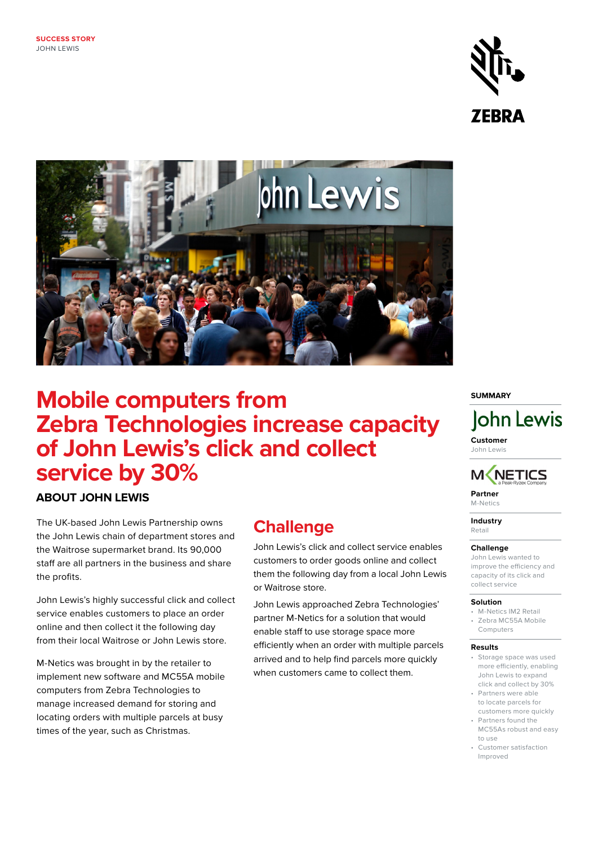



# **Mobile computers from Zebra Technologies increase capacity of John Lewis's click and collect service by 30%**

### **ABOUT JOHN LEWIS**

The UK-based John Lewis Partnership owns the John Lewis chain of department stores and the Waitrose supermarket brand. Its 90,000 staff are all partners in the business and share the profits.

John Lewis's highly successful click and collect service enables customers to place an order online and then collect it the following day from their local Waitrose or John Lewis store.

M-Netics was brought in by the retailer to implement new software and MC55A mobile computers from Zebra Technologies to manage increased demand for storing and locating orders with multiple parcels at busy times of the year, such as Christmas.

## **Challenge**

John Lewis's click and collect service enables customers to order goods online and collect them the following day from a local John Lewis or Waitrose store.

John Lewis approached Zebra Technologies' partner M-Netics for a solution that would enable staff to use storage space more efficiently when an order with multiple parcels arrived and to help find parcels more quickly when customers came to collect them.

#### **SUMMARY**

# John Lewis

**Customer** John Lewis



**Partner**  M-Netics

**Industry** 

Retail

#### **Challenge**

John Lewis wanted to improve the efficiency and capacity of its click and collect service

#### **Solution**

- M-Netics IM2 Retail • Zebra MC55A Mobile
- Computers

#### **Results**

- Storage space was used more efficiently, enabling John Lewis to expand click and collect by 30%
- Partners were able to locate parcels for customers more quickly
- Partners found the MC55As robust and easy
- to use • Customer satisfaction Improved